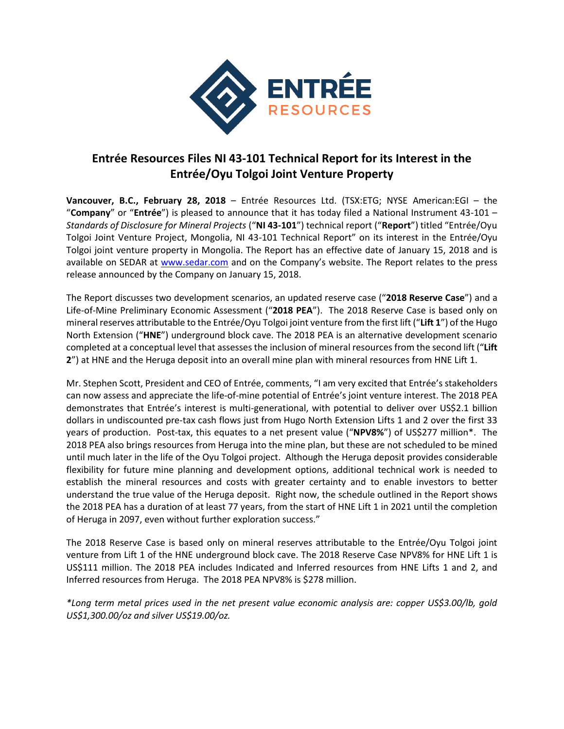

## **Entrée Resources Files NI 43-101 Technical Report for its Interest in the Entrée/Oyu Tolgoi Joint Venture Property**

**Vancouver, B.C., February 28, 2018** – Entrée Resources Ltd. (TSX:ETG; NYSE American:EGI – the "**Company**" or "**Entrée**") is pleased to announce that it has today filed a National Instrument 43-101 – *Standards of Disclosure for Mineral Projects* ("**NI 43-101**") technical report ("**Report**") titled "Entrée/Oyu Tolgoi Joint Venture Project, Mongolia, NI 43-101 Technical Report" on its interest in the Entrée/Oyu Tolgoi joint venture property in Mongolia. The Report has an effective date of January 15, 2018 and is available on SEDAR at [www.sedar.com](http://www.sedar.com/) and on the Company's website. The Report relates to the press release announced by the Company on January 15, 2018.

The Report discusses two development scenarios, an updated reserve case ("**2018 Reserve Case**") and a Life-of-Mine Preliminary Economic Assessment ("**2018 PEA**"). The 2018 Reserve Case is based only on mineral reserves attributable to the Entrée/Oyu Tolgoi joint venture from the first lift ("**Lift 1**") of the Hugo North Extension ("**HNE**") underground block cave. The 2018 PEA is an alternative development scenario completed at a conceptual level that assesses the inclusion of mineral resources from the second lift ("**Lift 2**") at HNE and the Heruga deposit into an overall mine plan with mineral resources from HNE Lift 1.

Mr. Stephen Scott, President and CEO of Entrée, comments, "I am very excited that Entrée's stakeholders can now assess and appreciate the life-of-mine potential of Entrée's joint venture interest. The 2018 PEA demonstrates that Entrée's interest is multi-generational, with potential to deliver over US\$2.1 billion dollars in undiscounted pre-tax cash flows just from Hugo North Extension Lifts 1 and 2 over the first 33 years of production. Post-tax, this equates to a net present value ("**NPV8%**") of US\$277 million\*. The 2018 PEA also brings resources from Heruga into the mine plan, but these are not scheduled to be mined until much later in the life of the Oyu Tolgoi project. Although the Heruga deposit provides considerable flexibility for future mine planning and development options, additional technical work is needed to establish the mineral resources and costs with greater certainty and to enable investors to better understand the true value of the Heruga deposit. Right now, the schedule outlined in the Report shows the 2018 PEA has a duration of at least 77 years, from the start of HNE Lift 1 in 2021 until the completion of Heruga in 2097, even without further exploration success."

The 2018 Reserve Case is based only on mineral reserves attributable to the Entrée/Oyu Tolgoi joint venture from Lift 1 of the HNE underground block cave. The 2018 Reserve Case NPV8% for HNE Lift 1 is US\$111 million. The 2018 PEA includes Indicated and Inferred resources from HNE Lifts 1 and 2, and Inferred resources from Heruga. The 2018 PEA NPV8% is \$278 million.

*\*Long term metal prices used in the net present value economic analysis are: copper US\$3.00/lb, gold US\$1,300.00/oz and silver US\$19.00/oz.*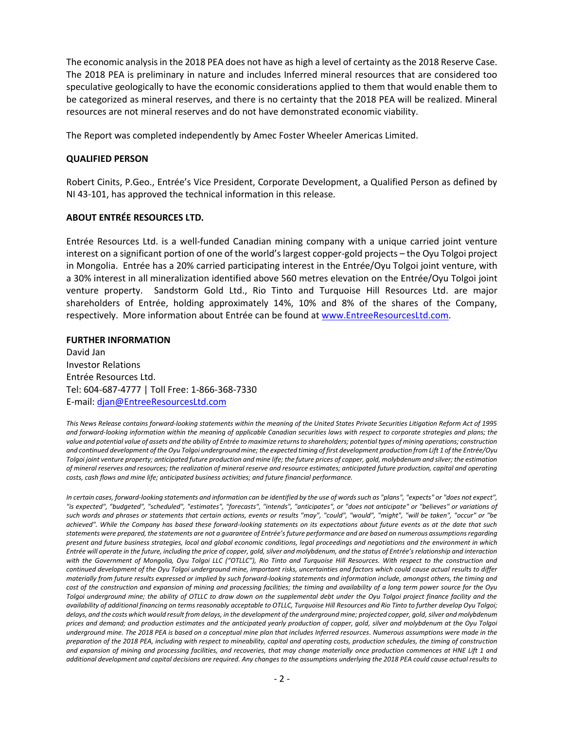The economic analysis in the 2018 PEA does not have as high a level of certainty as the 2018 Reserve Case. The 2018 PEA is preliminary in nature and includes Inferred mineral resources that are considered too speculative geologically to have the economic considerations applied to them that would enable them to be categorized as mineral reserves, and there is no certainty that the 2018 PEA will be realized. Mineral resources are not mineral reserves and do not have demonstrated economic viability.

The Report was completed independently by Amec Foster Wheeler Americas Limited.

## **QUALIFIED PERSON**

Robert Cinits, P.Geo., Entrée's Vice President, Corporate Development, a Qualified Person as defined by NI 43-101, has approved the technical information in this release.

## **ABOUT ENTRÉE RESOURCES LTD.**

Entrée Resources Ltd. is a well-funded Canadian mining company with a unique carried joint venture interest on a significant portion of one of the world's largest copper-gold projects – the Oyu Tolgoi project in Mongolia. Entrée has a 20% carried participating interest in the Entrée/Oyu Tolgoi joint venture, with a 30% interest in all mineralization identified above 560 metres elevation on the Entrée/Oyu Tolgoi joint venture property. Sandstorm Gold Ltd., Rio Tinto and Turquoise Hill Resources Ltd. are major shareholders of Entrée, holding approximately 14%, 10% and 8% of the shares of the Company, respectively. More information about Entrée can be found at [www.EntreeResourcesLtd.com.](http://www.entreeresourcesltd.com/)

## **FURTHER INFORMATION**

David Jan Investor Relations Entrée Resources Ltd. Tel: 604-687-4777 | Toll Free: 1-866-368-7330 E-mail: [djan@EntreeResourcesLtd.com](mailto:djan@EntreeResourcesLtd.com)

*This News Release contains forward-looking statements within the meaning of the United States Private Securities Litigation Reform Act of 1995 and forward-looking information within the meaning of applicable Canadian securities laws with respect to corporate strategies and plans; the value and potential value of assets and the ability of Entrée to maximize returns to shareholders; potential types of mining operations; construction and continued development of the Oyu Tolgoi underground mine; the expected timing of first development production from Lift 1 of the Entrée/Oyu Tolgoi joint venture property; anticipated future production and mine life; the future prices of copper, gold, molybdenum and silver; the estimation of mineral reserves and resources; the realization of mineral reserve and resource estimates; anticipated future production, capital and operating costs, cash flows and mine life; anticipated business activities; and future financial performance.*

*In certain cases, forward-looking statements and information can be identified by the use of words such as "plans", "expects" or "does not expect", "is expected", "budgeted", "scheduled", "estimates", "forecasts", "intends", "anticipates", or "does not anticipate" or "believes" or variations of such words and phrases or statements that certain actions, events or results "may", "could", "would", "might", "will be taken", "occur" or "be achieved". While the Company has based these forward-looking statements on its expectations about future events as at the date that such statements were prepared, the statements are not a guarantee of Entrée's future performance and are based on numerous assumptions regarding present and future business strategies, local and global economic conditions, legal proceedings and negotiations and the environment in which Entrée will operate in the future, including the price of copper, gold, silver and molybdenum, and the status of Entrée's relationship and interaction with the Government of Mongolia, Oyu Tolgoi LLC ("OTLLC"), Rio Tinto and Turquoise Hill Resources. With respect to the construction and continued development of the Oyu Tolgoi underground mine, important risks, uncertainties and factors which could cause actual results to differ materially from future results expressed or implied by such forward-looking statements and information include, amongst others, the timing and cost of the construction and expansion of mining and processing facilities; the timing and availability of a long term power source for the Oyu Tolgoi underground mine; the ability of OTLLC to draw down on the supplemental debt under the Oyu Tolgoi project finance facility and the availability of additional financing on terms reasonably acceptable to OTLLC, Turquoise Hill Resources and Rio Tinto to further develop Oyu Tolgoi; delays, and the costs which would result from delays, in the development of the underground mine; projected copper, gold, silver and molybdenum prices and demand; and production estimates and the anticipated yearly production of copper, gold, silver and molybdenum at the Oyu Tolgoi underground mine. The 2018 PEA is based on a conceptual mine plan that includes Inferred resources. Numerous assumptions were made in the preparation of the 2018 PEA, including with respect to mineability, capital and operating costs, production schedules, the timing of construction and expansion of mining and processing facilities, and recoveries, that may change materially once production commences at HNE Lift 1 and additional development and capital decisions are required. Any changes to the assumptions underlying the 2018 PEA could cause actual results to*